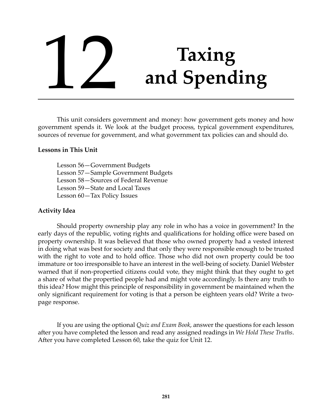# **Taxing and Spending** 12

This unit considers government and money: how government gets money and how government spends it. We look at the budget process, typical government expenditures, sources of revenue for government, and what government tax policies can and should do.

#### **Lessons in This Unit**

| Lesson 56-Government Budgets          |
|---------------------------------------|
| Lesson 57 – Sample Government Budgets |
| Lesson 58-Sources of Federal Revenue  |
| Lesson 59-State and Local Taxes       |
| Lesson 60-Tax Policy Issues           |

# **Activity Idea**

Should property ownership play any role in who has a voice in government? In the early days of the republic, voting rights and qualifications for holding office were based on property ownership. It was believed that those who owned property had a vested interest in doing what was best for society and that only they were responsible enough to be trusted with the right to vote and to hold office. Those who did not own property could be too immature or too irresponsible to have an interest in the well-being of society. Daniel Webster warned that if non-propertied citizens could vote, they might think that they ought to get a share of what the propertied people had and might vote accordingly. Is there any truth to this idea? How might this principle of responsibility in government be maintained when the only significant requirement for voting is that a person be eighteen years old? Write a twopage response.

If you are using the optional *Quiz and Exam Book*, answer the questions for each lesson after you have completed the lesson and read any assigned readings in *We Hold These Truths*. After you have completed Lesson 60, take the quiz for Unit 12.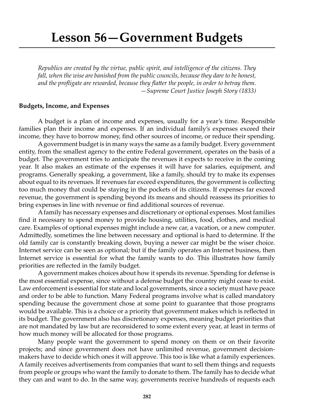# **Lesson 56—Government Budgets**

*Republics are created by the virtue, public spirit, and intelligence of the citizens. They fall, when the wise are banished from the public councils, because they dare to be honest, and the profligate are rewarded, because they flatter the people, in order to betray them. —Supreme Court Justice Joseph Story (1833)*

#### **Budgets, Income, and Expenses**

A budget is a plan of income and expenses, usually for a year's time. Responsible families plan their income and expenses. If an individual family's expenses exceed their income, they have to borrow money, find other sources of income, or reduce their spending.

A government budget is in many ways the same as a family budget. Every government entity, from the smallest agency to the entire Federal government, operates on the basis of a budget. The government tries to anticipate the revenues it expects to receive in the coming year. It also makes an estimate of the expenses it will have for salaries, equipment, and programs. Generally speaking, a government, like a family, should try to make its expenses about equal to its revenues. If revenues far exceed expenditures, the government is collecting too much money that could be staying in the pockets of its citizens. If expenses far exceed revenue, the government is spending beyond its means and should reassess its priorities to bring expenses in line with revenue or find additional sources of revenue.

A family has necessary expenses and discretionary or optional expenses. Most families find it necessary to spend money to provide housing, utilities, food, clothes, and medical care. Examples of optional expenses might include a new car, a vacation, or a new computer. Admittedly, sometimes the line between necessary and optional is hard to determine. If the old family car is constantly breaking down, buying a newer car might be the wiser choice. Internet service can be seen as optional; but if the family operates an Internet business, then Internet service is essential for what the family wants to do. This illustrates how family priorities are reflected in the family budget.

A government makes choices about how it spends its revenue. Spending for defense is the most essential expense, since without a defense budget the country might cease to exist. Law enforcement is essential for state and local governments, since a society must have peace and order to be able to function. Many Federal programs involve what is called mandatory spending because the government chose at some point to guarantee that those programs would be available. This is a choice or a priority that government makes which is reflected in its budget. The government also has discretionary expenses, meaning budget priorities that are not mandated by law but are reconsidered to some extent every year, at least in terms of how much money will be allocated for those programs.

Many people want the government to spend money on them or on their favorite projects; and since government does not have unlimited revenue, government decisionmakers have to decide which ones it will approve. This too is like what a family experiences. A family receives advertisements from companies that want to sell them things and requests from people or groups who want the family to donate to them. The family has to decide what they can and want to do. In the same way, governments receive hundreds of requests each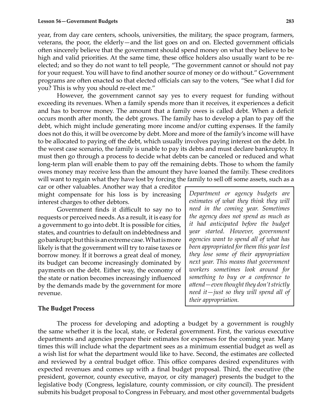year, from day care centers, schools, universities, the military, the space program, farmers, veterans, the poor, the elderly—and the list goes on and on. Elected government officials often sincerely believe that the government should spend money on what they believe to be high and valid priorities. At the same time, these office holders also usually want to be reelected; and so they do not want to tell people, "The government cannot or should not pay for your request. You will have to find another source of money or do without." Government programs are often enacted so that elected officials can say to the voters, "See what I did for you? This is why you should re-elect me."

However, the government cannot say yes to every request for funding without exceeding its revenues. When a family spends more than it receives, it experiences a deficit and has to borrow money. The amount that a family owes is called debt. When a deficit occurs month after month, the debt grows. The family has to develop a plan to pay off the debt, which might include generating more income and/or cutting expenses. If the family does not do this, it will be overcome by debt. More and more of the family's income will have to be allocated to paying off the debt, which usually involves paying interest on the debt. In the worst case scenario, the family is unable to pay its debts and must declare bankruptcy. It must then go through a process to decide what debts can be canceled or reduced and what long-term plan will enable them to pay off the remaining debts. Those to whom the family owes money may receive less than the amount they have loaned the family. These creditors will want to regain what they have lost by forcing the family to sell off some assets, such as a

car or other valuables. Another way that a creditor might compensate for his loss is by increasing interest charges to other debtors.

Government finds it difficult to say no to requests or perceived needs. As a result, it is easy for a government to go into debt. It is possible for cities, states, and countries to default on indebtedness and go bankrupt; but this is an extreme case. What is more likely is that the government will try to raise taxes or borrow money. If it borrows a great deal of money, its budget can become increasingly dominated by payments on the debt. Either way, the economy of the state or nation becomes increasingly influenced by the demands made by the government for more revenue.

*Department or agency budgets are estimates of what they think they will need in the coming year. Sometimes the agency does not spend as much as it had anticipated before the budget year started. However, government agencies want to spend all of what has been appropriated for them this year lest they lose some of their appropriation next year. This means that government workers sometimes look around for something to buy or a conference to aĴ end—even thought they don't strictly need it—just so they will spend all of their appropriation.* 

#### **The Budget Process**

The process for developing and adopting a budget by a government is roughly the same whether it is the local, state, or Federal government. First, the various executive departments and agencies prepare their estimates for expenses for the coming year. Many times this will include what the department sees as a minimum essential budget as well as a wish list for what the department would like to have. Second, the estimates are collected and reviewed by a central budget office. This office compares desired expenditures with expected revenues and comes up with a final budget proposal. Third, the executive (the president, governor, county executive, mayor, or city manager) presents the budget to the legislative body (Congress, legislature, county commission, or city council). The president submits his budget proposal to Congress in February, and most other governmental budgets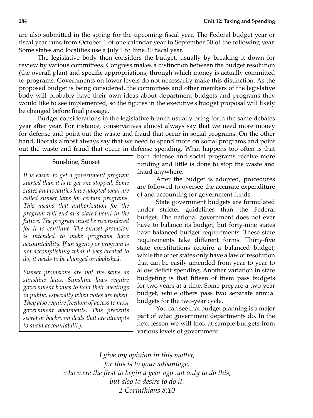are also submitted in the spring for the upcoming fiscal year. The Federal budget year or fiscal year runs from October 1 of one calendar year to September 30 of the following year. Some states and localities use a July 1 to June 30 fiscal year.

The legislative body then considers the budget, usually by breaking it down for review by various committees. Congress makes a distinction between the budget resolution (the overall plan) and specific appropriations, through which money is actually committed to programs. Governments on lower levels do not necessarily make this distinction. As the proposed budget is being considered, the committees and other members of the legislative body will probably have their own ideas about department budgets and programs they would like to see implemented, so the figures in the executive's budget proposal will likely be changed before final passage.

Budget considerations in the legislative branch usually bring forth the same debates year after year. For instance, conservatives almost always say that we need more money for defense and point out the waste and fraud that occur in social programs. On the other hand, liberals almost always say that we need to spend more on social programs and point out the waste and fraud that occur in defense spending. What happens too often is that

#### Sunshine, Sunset

*It is easier to get a government program started than it is to get one stopped. Some states and localities have adopted what are called sunset laws for certain programs. This means that authorization for the program will end at a stated point in the future. The program must be reconsidered for it to continue. The sunset provision is intended to make programs have accountability. If an agency or program is not accomplishing what it was created to do, it needs to be changed or abolished.* 

*Sunset provisions are not the same as sunshine laws. Sunshine laws require government bodies to hold their meetings in public, especially when votes are taken. They also require freedom of access to most government documents. This prevents secret or backroom deals that are attempts to avoid accountability.*

both defense and social programs receive more funding and little is done to stop the waste and fraud anywhere.

After the budget is adopted, procedures are followed to oversee the accurate expenditure of and accounting for government funds.

State government budgets are formulated under stricter guidelines than the Federal budget. The national government does not ever have to balance its budget, but forty-nine states have balanced budget requirements. These state requirements take different forms. Thirty-five state constitutions require a balanced budget, while the other states only have a law or resolution that can be easily amended from year to year to allow deficit spending. Another variation in state budgeting is that fifteen of them pass budgets for two years at a time. Some prepare a two-year budget, while others pass two separate annual budgets for the two-year cycle.

You can see that budget planning is a major part of what government departments do. In the next lesson we will look at sample budgets from various levels of government.

*I* give my opinion in this matter, *for this is to your advantage,* who were the first to begin a year ago not only to do this, *but also to desire to do it. 2 Corinthians 8:10*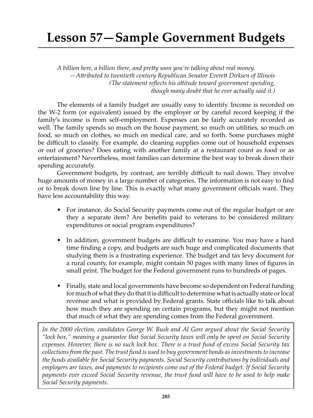# **Lesson 57—Sample Government Budgets**

*A billion here, a billion there, and preĴ y soon you're talking about real money. —AĴ ributed to twentieth century Republican Senator EvereĴ Dirksen of Illinois (The statement refl ects his aĴ itude toward government spending, though many doubt that he ever actually said it.)*

The elements of a family budget are usually easy to identify. Income is recorded on the W-2 form (or equivalent) issued by the employer or by careful record keeping if the family's income is from self-employment. Expenses can be fairly accurately recorded as well. The family spends so much on the house payment, so much on utilities, so much on food, so much on clothes, so much on medical care, and so forth. Some purchases might be difficult to classify. For example, do cleaning supplies come out of household expenses or out of groceries? Does eating with another family at a restaurant count as food or as entertainment? Nevertheless, most families can determine the best way to break down their spending accurately.

Government budgets, by contrast, are terribly difficult to nail down. They involve huge amounts of money in a large number of categories. The information is not easy to find or to break down line by line. This is exactly what many government officials want. They have less accountability this way.

- For instance, do Social Security payments come out of the regular budget or are they a separate item? Are benefits paid to veterans to be considered military expenditures or social program expenditures?
- In addition, government budgets are difficult to examine. You may have a hard time finding a copy, and budgets are such huge and complicated documents that studying them is a frustrating experience. The budget and tax levy document for a rural county, for example, might contain 50 pages with many lines of figures in small print. The budget for the Federal government runs to hundreds of pages.
- Finally, state and local governments have become so dependent on Federal funding for much of what they do that it is difficult to determine what is actually state or local revenue and what is provided by Federal grants. State officials like to talk about how much they are spending on certain programs, but they might not mention that much of what they are spending comes from the Federal government.

*In the 2000 election, candidates George W. Bush and Al Gore argued about the Social Security "lock box," meaning a guarantee that Social Security taxes will only be spent on Social Security expenses. However, there is no such lock box. There is a trust fund of excess Social Security tax collections from the past. The trust fund is used to buy government bonds as investments to increase the funds available for Social Security payments. Social Security contributions by individuals and employers are taxes, and payments to recipients come out of the Federal budget. If Social Security payments ever exceed Social Security revenue, the trust fund will have to be used to help make Social Security payments.*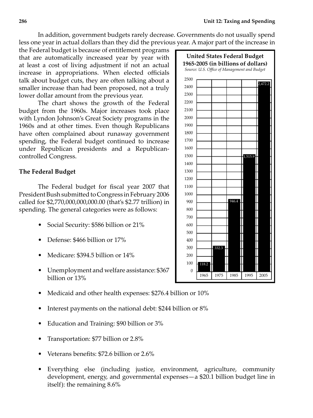In addition, government budgets rarely decrease. Governments do not usually spend less one year in actual dollars than they did the previous year. A major part of the increase in

the Federal budget is because of entitlement programs that are automatically increased year by year with at least a cost of living adjustment if not an actual increase in appropriations. When elected officials talk about budget cuts, they are often talking about a smaller increase than had been proposed, not a truly lower dollar amount from the previous year.

The chart shows the growth of the Federal budget from the 1960s. Major increases took place with Lyndon Johnson's Great Society programs in the 1960s and at other times. Even though Republicans have often complained about runaway government spending, the Federal budget continued to increase under Republican presidents and a Republicancontrolled Congress.

# **The Federal Budget**

The Federal budget for fiscal year 2007 that President Bush submitted to Congress in February 2006 called for \$2,770,000,000,000.00 (that's \$2.77 trillion) in spending. The general categories were as follows:

- Social Security: \$586 billion or 21%
- Defense: \$466 billion or 17%
- Medicare: \$394.5 billion or 14%
- Unemployment and welfare assistance: \$367 billion or 13%
- Medicaid and other health expenses: \$276.4 billion or 10%
- Interest payments on the national debt: \$244 billion or 8%
- Education and Training: \$90 billion or 3%
- Transportation: \$77 billion or 2.8%
- Veterans benefits: \$72.6 billion or 2.6%
- Everything else (including justice, environment, agriculture, community development, energy, and governmental expenses—a \$20.1 billion budget line in itself): the remaining 8.6%

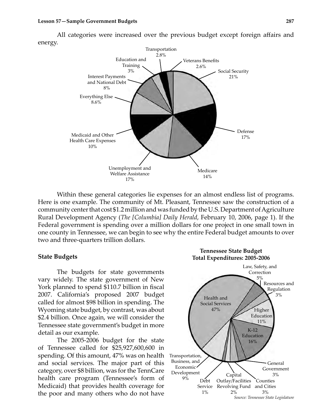

All categories were increased over the previous budget except foreign affairs and energy.

Within these general categories lie expenses for an almost endless list of programs. Here is one example. The community of Mt. Pleasant, Tennessee saw the construction of a community center that cost \$1.2 million and was funded by the U.S. Department of Agriculture Rural Development Agency (*The [Columbia] Daily Herald*, February 10, 2006, page 1). If the Federal government is spending over a million dollars for one project in one small town in one county in Tennessee, we can begin to see why the entire Federal budget amounts to over two and three-quarters trillion dollars.

#### **State Budgets**

The budgets for state governments vary widely. The state government of New York planned to spend \$110.7 billion in fiscal 2007. California's proposed 2007 budget called for almost \$98 billion in spending. The Wyoming state budget, by contrast, was about \$2.4 billion. Once again, we will consider the Tennessee state government's budget in more detail as our example.

The 2005-2006 budget for the state of Tennessee called for \$25,927,600,600 in spending. Of this amount, 47% was on health and social services. The major part of this category, over \$8 billion, was for the TennCare health care program (Tennessee's form of Medicaid) that provides health coverage for the poor and many others who do not have

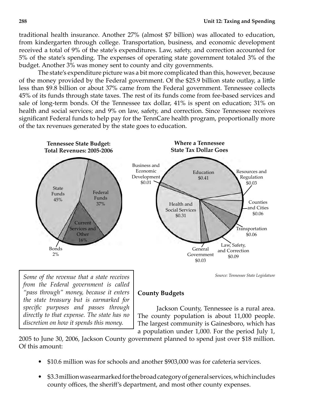traditional health insurance. Another 27% (almost \$7 billion) was allocated to education, from kindergarten through college. Transportation, business, and economic development received a total of 9% of the state's expenditures. Law, safety, and correction accounted for 5% of the state's spending. The expenses of operating state government totaled 3% of the budget. Another 3% was money sent to county and city governments.

The state's expenditure picture was a bit more complicated than this, however, because of the money provided by the Federal government. Of the \$25.9 billion state outlay, a little less than \$9.8 billion or about 37% came from the Federal government. Tennessee collects 45% of its funds through state taxes. The rest of its funds come from fee-based services and sale of long-term bonds. Of the Tennessee tax dollar, 41% is spent on education; 31% on health and social services; and 9% on law, safety, and correction. Since Tennessee receives significant Federal funds to help pay for the TennCare health program, proportionally more of the tax revenues generated by the state goes to education.



*Some of the revenue that a state receives from the Federal government is called "pass through" money, because it enters the state treasury but is earmarked for specifi c purposes and passes through directly to that expense. The state has no discretion on how it spends this money.* 

*Source: Tennessee State Legislature*

# **County Budgets**

Jackson County, Tennessee is a rural area. The county population is about 11,000 people. The largest community is Gainesboro, which has a population under 1,000. For the period July 1,

2005 to June 30, 2006, Jackson County government planned to spend just over \$18 million. Of this amount:

- \$10.6 million was for schools and another \$903,000 was for cafeteria services.
- \$3.3 million was earmarked for the broad category of general services, which includes county offices, the sheriff's department, and most other county expenses.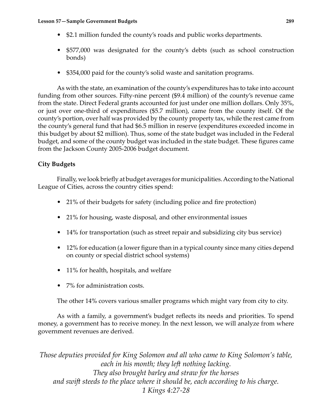- \$2.1 million funded the county's roads and public works departments.
- \$577,000 was designated for the county's debts (such as school construction bonds)
- \$354,000 paid for the county's solid waste and sanitation programs.

As with the state, an examination of the county's expenditures has to take into account funding from other sources. Fifty-nine percent (\$9.4 million) of the county's revenue came from the state. Direct Federal grants accounted for just under one million dollars. Only 35%, or just over one-third of expenditures (\$5.7 million), came from the county itself. Of the county's portion, over half was provided by the county property tax, while the rest came from the county's general fund that had \$6.5 million in reserve (expenditures exceeded income in this budget by about \$2 million). Thus, some of the state budget was included in the Federal budget, and some of the county budget was included in the state budget. These figures came from the Jackson County 2005-2006 budget document.

# **City Budgets**

Finally, we look briefly at budget averages for municipalities. According to the National League of Cities, across the country cities spend:

- 21% of their budgets for safety (including police and fire protection)
- 21% for housing, waste disposal, and other environmental issues
- 14% for transportation (such as street repair and subsidizing city bus service)
- 12% for education (a lower figure than in a typical county since many cities depend on county or special district school systems)
- 11% for health, hospitals, and welfare
- 7% for administration costs.

The other 14% covers various smaller programs which might vary from city to city.

As with a family, a government's budget reflects its needs and priorities. To spend money, a government has to receive money. In the next lesson, we will analyze from where government revenues are derived.

*Those deputies provided for King Solomon and all who came to King Solomon's table, each in his month; they leĞ nothing lacking. They also brought barley and straw for the horses and swiĞ steeds to the place where it should be, each according to his charge. 1 Kings 4:27-28*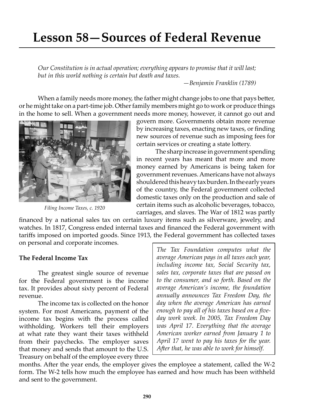# **Lesson 58—Sources of Federal Revenue**

*Our Constitution is in actual operation; everything appears to promise that it will last; but in this world nothing is certain but death and taxes.*

*—Benjamin Franklin (1789)*

When a family needs more money, the father might change jobs to one that pays better, or he might take on a part-time job. Other family members might go to work or produce things in the home to sell. When a government needs more money, however, it cannot go out and



*Filing Income Taxes, c. 1920*

govern more. Governments obtain more revenue by increasing taxes, enacting new taxes, or finding new sources of revenue such as imposing fees for certain services or creating a state lottery.

The sharp increase in government spending in recent years has meant that more and more money earned by Americans is being taken for government revenues. Americans have not always shouldered this heavy tax burden. In the early years of the country, the Federal government collected domestic taxes only on the production and sale of certain items such as alcoholic beverages, tobacco, carriages, and slaves. The War of 1812 was partly

financed by a national sales tax on certain luxury items such as silverware, jewelry, and watches. In 1817, Congress ended internal taxes and financed the Federal government with tariffs imposed on imported goods. Since 1913, the Federal government has collected taxes on personal and corporate incomes.

#### **The Federal Income Tax**

The greatest single source of revenue for the Federal government is the income tax. It provides about sixty percent of Federal revenue.

The income tax is collected on the honor system. For most Americans, payment of the income tax begins with the process called withholding. Workers tell their employers at what rate they want their taxes withheld from their paychecks. The employer saves that money and sends that amount to the U.S. Treasury on behalf of the employee every three

*The Tax Foundation computes what the average American pays in all taxes each year, including income tax, Social Security tax, sales tax, corporate taxes that are passed on to the consumer, and so forth. Based on the average American's income, the foundation annually announces Tax Freedom Day, the day when the average American has earned enough to pay all of his taxes based on a fi veday work week. In 2005, Tax Freedom Day was April 17. Everything that the average American worker earned from January 1 to April 17 went to pay his taxes for the year. AĞ er that, he was able to work for himself.*

months. After the year ends, the employer gives the employee a statement, called the W-2 form. The W-2 tells how much the employee has earned and how much has been withheld and sent to the government.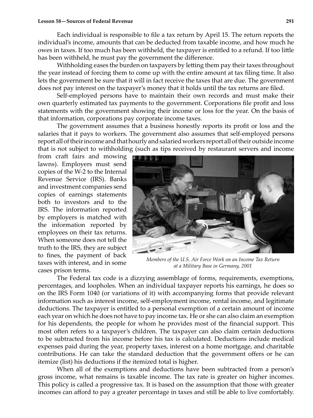Each individual is responsible to file a tax return by April 15. The return reports the individual's income, amounts that can be deducted from taxable income, and how much he owes in taxes. If too much has been withheld, the taxpayer is entitled to a refund. If too little has been withheld, he must pay the government the difference.

Withholding eases the burden on taxpayers by letting them pay their taxes throughout the year instead of forcing them to come up with the entire amount at tax filing time. It also lets the government be sure that it will in fact receive the taxes that are due. The government does not pay interest on the taxpayer's money that it holds until the tax returns are filed.

Self-employed persons have to maintain their own records and must make their own quarterly estimated tax payments to the government. Corporations file profit and loss statements with the government showing their income or loss for the year. On the basis of that information, corporations pay corporate income taxes.

The government assumes that a business honestly reports its profit or loss and the salaries that it pays to workers. The government also assumes that self-employed persons report all of their income and that hourly and salaried workers report all of their outside income that is not subject to withholding (such as tips received by restaurant servers and income

from craft fairs and mowing lawns). Employers must send copies of the W-2 to the Internal Revenue Service (IRS). Banks and investment companies send copies of earnings statements both to investors and to the IRS. The information reported by employers is matched with the information reported by employees on their tax returns. When someone does not tell the truth to the IRS, they are subject to fines, the payment of back taxes with interest, and in some cases prison terms.



*Members of the U.S. Air Force Work on an Income Tax Return at a Military Base in Germany, 2001*

The Federal tax code is a dizzying assemblage of forms, requirements, exemptions, percentages, and loopholes. When an individual taxpayer reports his earnings, he does so on the IRS Form 1040 (or variations of it) with accompanying forms that provide relevant information such as interest income, self-employment income, rental income, and legitimate deductions. The taxpayer is entitled to a personal exemption of a certain amount of income each year on which he does not have to pay income tax. He or she can also claim an exemption for his dependents, the people for whom he provides most of the financial support. This most often refers to a taxpayer's children. The taxpayer can also claim certain deductions to be subtracted from his income before his tax is calculated. Deductions include medical expenses paid during the year, property taxes, interest on a home mortgage, and charitable contributions. He can take the standard deduction that the government offers or he can itemize (list) his deductions if the itemized total is higher.

When all of the exemptions and deductions have been subtracted from a person's gross income, what remains is taxable income. The tax rate is greater on higher incomes. This policy is called a progressive tax. It is based on the assumption that those with greater incomes can afford to pay a greater percentage in taxes and still be able to live comfortably.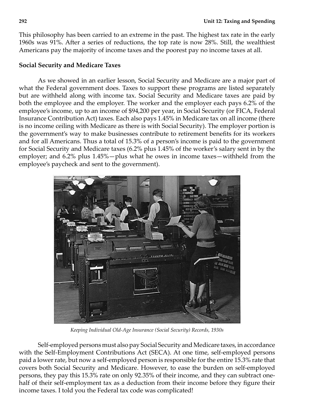This philosophy has been carried to an extreme in the past. The highest tax rate in the early 1960s was 91%. After a series of reductions, the top rate is now 28%. Still, the wealthiest Americans pay the majority of income taxes and the poorest pay no income taxes at all.

#### **Social Security and Medicare Taxes**

As we showed in an earlier lesson, Social Security and Medicare are a major part of what the Federal government does. Taxes to support these programs are listed separately but are withheld along with income tax. Social Security and Medicare taxes are paid by both the employee and the employer. The worker and the employer each pays 6.2% of the employee's income, up to an income of \$94,200 per year, in Social Security (or FICA, Federal Insurance Contribution Act) taxes. Each also pays 1.45% in Medicare tax on all income (there is no income ceiling with Medicare as there is with Social Security). The employer portion is the government's way to make businesses contribute to retirement benefits for its workers and for all Americans. Thus a total of 15.3% of a person's income is paid to the government for Social Security and Medicare taxes (6.2% plus 1.45% of the worker's salary sent in by the employer; and 6.2% plus 1.45%—plus what he owes in income taxes—withheld from the employee's paycheck and sent to the government).



*Keeping Individual Old-Age Insurance (Social Security) Records, 1930s*

Self-employed persons must also pay Social Security and Medicare taxes, in accordance with the Self-Employment Contributions Act (SECA). At one time, self-employed persons paid a lower rate, but now a self-employed person is responsible for the entire 15.3% rate that covers both Social Security and Medicare. However, to ease the burden on self-employed persons, they pay this 15.3% rate on only 92.35% of their income, and they can subtract onehalf of their self-employment tax as a deduction from their income before they figure their income taxes. I told you the Federal tax code was complicated!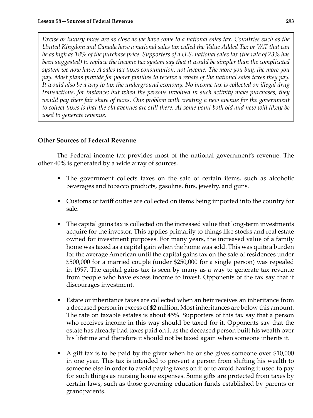*Excise or luxury taxes are as close as we have come to a national sales tax. Countries such as the United Kingdom and Canada have a national sales tax called the Value Added Tax or VAT that can be as high as 18% of the purchase price. Supporters of a U.S. national sales tax (the rate of 23% has been suggested) to replace the income tax system say that it would be simpler than the complicated system we now have. A sales tax taxes consumption, not income. The more you buy, the more you pay. Most plans provide for poorer families to receive a rebate of the national sales taxes they pay. It would also be a way to tax the underground economy. No income tax is collected on illegal drug transactions, for instance; but when the persons involved in such activity make purchases, they*  would pay their fair share of taxes. One problem with creating a new avenue for the government *to collect taxes is that the old avenues are still there. At some point both old and new will likely be used to generate revenue.*

### **Other Sources of Federal Revenue**

The Federal income tax provides most of the national government's revenue. The other 40% is generated by a wide array of sources.

- The government collects taxes on the sale of certain items, such as alcoholic beverages and tobacco products, gasoline, furs, jewelry, and guns.
- Customs or tariff duties are collected on items being imported into the country for sale.
- The capital gains tax is collected on the increased value that long-term investments acquire for the investor. This applies primarily to things like stocks and real estate owned for investment purposes. For many years, the increased value of a family home was taxed as a capital gain when the home was sold. This was quite a burden for the average American until the capital gains tax on the sale of residences under \$500,000 for a married couple (under \$250,000 for a single person) was repealed in 1997. The capital gains tax is seen by many as a way to generate tax revenue from people who have excess income to invest. Opponents of the tax say that it discourages investment.
- Estate or inheritance taxes are collected when an heir receives an inheritance from a deceased person in excess of \$2 million. Most inheritances are below this amount. The rate on taxable estates is about 45%. Supporters of this tax say that a person who receives income in this way should be taxed for it. Opponents say that the estate has already had taxes paid on it as the deceased person built his wealth over his lifetime and therefore it should not be taxed again when someone inherits it.
- A gift tax is to be paid by the giver when he or she gives someone over \$10,000 in one year. This tax is intended to prevent a person from shifting his wealth to someone else in order to avoid paying taxes on it or to avoid having it used to pay for such things as nursing home expenses. Some gifts are protected from taxes by certain laws, such as those governing education funds established by parents or grandparents.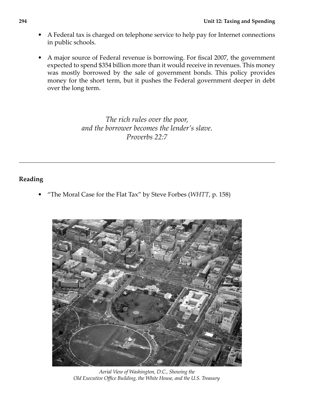- A Federal tax is charged on telephone service to help pay for Internet connections in public schools.
- A major source of Federal revenue is borrowing. For fiscal 2007, the government expected to spend \$354 billion more than it would receive in revenues. This money was mostly borrowed by the sale of government bonds. This policy provides money for the short term, but it pushes the Federal government deeper in debt over the long term.

*The rich rules over the poor, and the borrower becomes the lender's slave. Proverbs 22:7*

# **Reading**

• "The Moral Case for the Flat Tax" by Steve Forbes (*WHTT*, p. 158)



*Aerial View of Washington, D.C., Showing the Old Executive Offi ce Building, the White House, and the U.S. Treasury*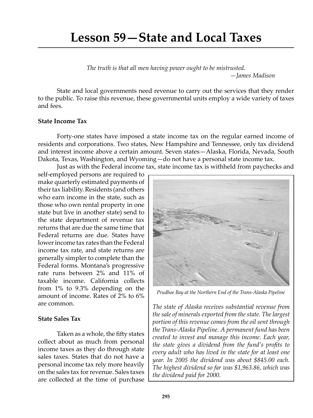# **Lesson 59—State and Local Taxes**

*The truth is that all men having power ought to be mistrusted. —James Madison*

State and local governments need revenue to carry out the services that they render to the public. To raise this revenue, these governmental units employ a wide variety of taxes and fees.

#### **State Income Tax**

Forty-one states have imposed a state income tax on the regular earned income of residents and corporations. Two states, New Hampshire and Tennessee, only tax dividend and interest income above a certain amount. Seven states—Alaska, Florida, Nevada, South Dakota, Texas, Washington, and Wyoming—do not have a personal state income tax.

Just as with the Federal income tax, state income tax is withheld from paychecks and

self-employed persons are required to make quarterly estimated payments of their tax liability. Residents (and others who earn income in the state, such as those who own rental property in one state but live in another state) send to the state department of revenue tax returns that are due the same time that Federal returns are due. States have lower income tax rates than the Federal income tax rate, and state returns are generally simpler to complete than the Federal forms. Montana's progressive rate runs between 2% and 11% of taxable income. California collects from 1% to 9.3% depending on the amount of income. Rates of 2% to 6% are common.

#### **State Sales Tax**

Taken as a whole, the fifty states collect about as much from personal income taxes as they do through state sales taxes. States that do not have a personal income tax rely more heavily on the sales tax for revenue. Sales taxes are collected at the time of purchase



*Prudhoe Bay at the Northern End of the Trans-Alaska Pipeline*

*The state of Alaska receives substantial revenue from the sale of minerals exported from the state. The largest portion of this revenue comes from the oil sent through the Trans-Alaska Pipeline. A permanent fund has been created to invest and manage this income. Each year, the state gives a dividend from the fund's profits to every adult who has lived in the state for at least one year. In 2005 the dividend was about \$845.00 each. The highest dividend so far was \$1,963.86, which was the dividend paid for 2000.*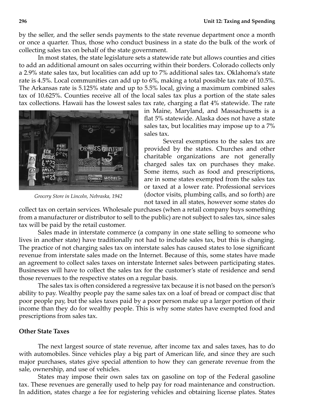by the seller, and the seller sends payments to the state revenue department once a month or once a quarter. Thus, those who conduct business in a state do the bulk of the work of collecting sales tax on behalf of the state government.

In most states, the state legislature sets a statewide rate but allows counties and cities to add an additional amount on sales occurring within their borders. Colorado collects only a 2.9% state sales tax, but localities can add up to 7% additional sales tax. Oklahoma's state rate is 4.5%. Local communities can add up to 6%, making a total possible tax rate of 10.5%. The Arkansas rate is 5.125% state and up to 5.5% local, giving a maximum combined sales tax of 10.625%. Counties receive all of the local sales tax plus a portion of the state sales tax collections. Hawaii has the lowest sales tax rate, charging a flat 4% statewide. The rate



*Grocery Store in Lincoln, Nebraska, 1942*

in Maine, Maryland, and Massachusetts is a flat 5% statewide. Alaska does not have a state sales tax, but localities may impose up to a 7% sales tax.

Several exemptions to the sales tax are provided by the states. Churches and other charitable organizations are not generally charged sales tax on purchases they make. Some items, such as food and prescriptions, are in some states exempted from the sales tax or taxed at a lower rate. Professional services (doctor visits, plumbing calls, and so forth) are not taxed in all states, however some states do

collect tax on certain services. Wholesale purchases (when a retail company buys something from a manufacturer or distributor to sell to the public) are not subject to sales tax, since sales tax will be paid by the retail customer.

Sales made in interstate commerce (a company in one state selling to someone who lives in another state) have traditionally not had to include sales tax, but this is changing. The practice of not charging sales tax on interstate sales has caused states to lose significant revenue from interstate sales made on the Internet. Because of this, some states have made an agreement to collect sales taxes on interstate Internet sales between participating states. Businesses will have to collect the sales tax for the customer's state of residence and send those revenues to the respective states on a regular basis.

The sales tax is often considered a regressive tax because it is not based on the person's ability to pay. Wealthy people pay the same sales tax on a loaf of bread or compact disc that poor people pay, but the sales taxes paid by a poor person make up a larger portion of their income than they do for wealthy people. This is why some states have exempted food and prescriptions from sales tax.

#### **Other State Taxes**

The next largest source of state revenue, after income tax and sales taxes, has to do with automobiles. Since vehicles play a big part of American life, and since they are such major purchases, states give special attention to how they can generate revenue from the sale, ownership, and use of vehicles.

States may impose their own sales tax on gasoline on top of the Federal gasoline tax. These revenues are generally used to help pay for road maintenance and construction. In addition, states charge a fee for registering vehicles and obtaining license plates. States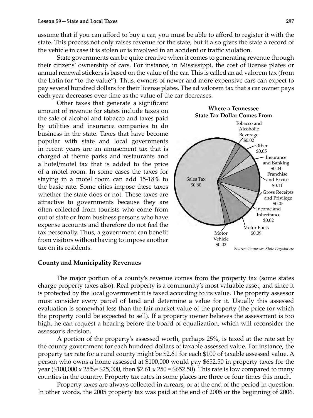assume that if you can afford to buy a car, you must be able to afford to register it with the state. This process not only raises revenue for the state, but it also gives the state a record of the vehicle in case it is stolen or is involved in an accident or traffic violation.

State governments can be quite creative when it comes to generating revenue through their citizens' ownership of cars. For instance, in Mississippi, the cost of license plates or annual renewal stickers is based on the value of the car. This is called an ad valorem tax (from the Latin for "to the value"). Thus, owners of newer and more expensive cars can expect to pay several hundred dollars for their license plates. The ad valorem tax that a car owner pays each year decreases over time as the value of the car decreases.

Other taxes that generate a significant amount of revenue for states include taxes on the sale of alcohol and tobacco and taxes paid by utilities and insurance companies to do business in the state. Taxes that have become popular with state and local governments in recent years are an amusement tax that is charged at theme parks and restaurants and a hotel/motel tax that is added to the price of a motel room. In some cases the taxes for staying in a motel room can add 15-18% to the basic rate. Some cities impose these taxes whether the state does or not. These taxes are attractive to governments because they are often collected from tourists who come from out of state or from business persons who have expense accounts and therefore do not feel the tax personally. Thus, a government can benefit from visitors without having to impose another tax on its residents.



#### **County and Municipality Revenues**

The major portion of a county's revenue comes from the property tax (some states charge property taxes also). Real property is a community's most valuable asset, and since it is protected by the local government it is taxed according to its value. The property assessor must consider every parcel of land and determine a value for it. Usually this assessed evaluation is somewhat less than the fair market value of the property (the price for which the property could be expected to sell). If a property owner believes the assessment is too high, he can request a hearing before the board of equalization, which will reconsider the assessor's decision.

A portion of the property's assessed worth, perhaps 25%, is taxed at the rate set by the county government for each hundred dollars of taxable assessed value. For instance, the property tax rate for a rural county might be \$2.61 for each \$100 of taxable assessed value. A person who owns a home assessed at \$100,000 would pay \$652.50 in property taxes for the year (\$100,000 x 25%= \$25,000, then \$2.61 x 250 = \$652.50). This rate is low compared to many counties in the country. Property tax rates in some places are three or four times this much.

Property taxes are always collected in arrears, or at the end of the period in question. In other words, the 2005 property tax was paid at the end of 2005 or the beginning of 2006.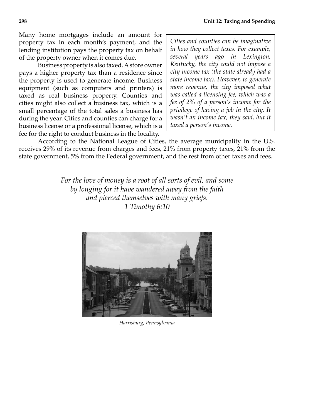Many home mortgages include an amount for property tax in each month's payment, and the lending institution pays the property tax on behalf of the property owner when it comes due.

Business property is also taxed. A store owner pays a higher property tax than a residence since the property is used to generate income. Business equipment (such as computers and printers) is taxed as real business property. Counties and cities might also collect a business tax, which is a small percentage of the total sales a business has during the year. Cities and counties can charge for a business license or a professional license, which is a fee for the right to conduct business in the locality.

*Cities and counties can be imaginative in how they collect taxes. For example, several years ago in Lexington, Kentucky, the city could not impose a city income tax (the state already had a state income tax). However, to generate more revenue, the city imposed what was called a licensing fee, which was a fee of 2% of a person's income for the privilege of having a job in the city. It wasn't an income tax, they said, but it taxed a person's income.*

According to the National League of Cities, the average municipality in the U.S. receives 29% of its revenue from charges and fees, 21% from property taxes, 21% from the state government, 5% from the Federal government, and the rest from other taxes and fees.

> *For the love of money is a root of all sorts of evil, and some by longing for it have wandered away from the faith and pierced themselves with many griefs. 1 Timothy 6:10*



*Harrisburg, Pennsylvania*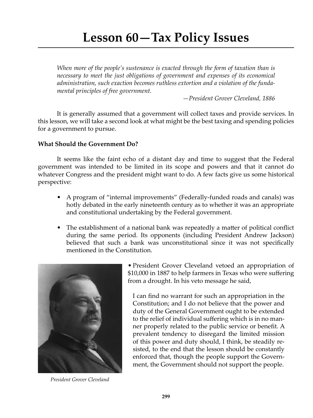# **Lesson 60—Tax Policy Issues**

*When more of the people's sustenance is exacted through the form of taxation than is necessary to meet the just obligations of government and expenses of its economical administration, such exaction becomes ruthless extortion and a violation of the fundamental principles of free government.*

*—President Grover Cleveland, 1886*

It is generally assumed that a government will collect taxes and provide services. In this lesson, we will take a second look at what might be the best taxing and spending policies for a government to pursue.

#### **What Should the Government Do?**

It seems like the faint echo of a distant day and time to suggest that the Federal government was intended to be limited in its scope and powers and that it cannot do whatever Congress and the president might want to do. A few facts give us some historical perspective:

- A program of "internal improvements" (Federally-funded roads and canals) was hotly debated in the early nineteenth century as to whether it was an appropriate and constitutional undertaking by the Federal government.
- The establishment of a national bank was repeatedly a matter of political conflict during the same period. Its opponents (including President Andrew Jackson) believed that such a bank was unconstitutional since it was not specifically mentioned in the Constitution.



*President Grover Cleveland*

• President Grover Cleveland vetoed an appropriation of \$10,000 in 1887 to help farmers in Texas who were suffering from a drought. In his veto message he said,

I can find no warrant for such an appropriation in the Constitution; and I do not believe that the power and duty of the General Government ought to be extended to the relief of individual suffering which is in no manner properly related to the public service or benefit. A prevalent tendency to disregard the limited mission of this power and duty should, I think, be steadily resisted, to the end that the lesson should be constantly enforced that, though the people support the Government, the Government should not support the people.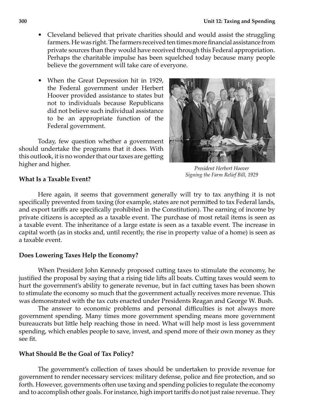- Cleveland believed that private charities should and would assist the struggling farmers. He was right. The farmers received ten times more financial assistance from private sources than they would have received through this Federal appropriation. Perhaps the charitable impulse has been squelched today because many people believe the government will take care of everyone.
- When the Great Depression hit in 1929, the Federal government under Herbert Hoover provided assistance to states but not to individuals because Republicans did not believe such individual assistance to be an appropriate function of the Federal government.

Today, few question whether a government should undertake the programs that it does. With this outlook, it is no wonder that our taxes are getting higher and higher.



#### **What Is a Taxable Event?**

*President Herbert Hoover Signing the Farm Relief Bill, 1929*

Here again, it seems that government generally will try to tax anything it is not specifically prevented from taxing (for example, states are not permitted to tax Federal lands, and export tariffs are specifically prohibited in the Constitution). The earning of income by private citizens is accepted as a taxable event. The purchase of most retail items is seen as a taxable event. The inheritance of a large estate is seen as a taxable event. The increase in capital worth (as in stocks and, until recently, the rise in property value of a home) is seen as a taxable event.

### **Does Lowering Taxes Help the Economy?**

When President John Kennedy proposed cutting taxes to stimulate the economy, he justified the proposal by saying that a rising tide lifts all boats. Cutting taxes would seem to hurt the government's ability to generate revenue, but in fact cutting taxes has been shown to stimulate the economy so much that the government actually receives more revenue. This was demonstrated with the tax cuts enacted under Presidents Reagan and George W. Bush.

The answer to economic problems and personal difficulties is not always more government spending. Many times more government spending means more government bureaucrats but little help reaching those in need. What will help most is less government spending, which enables people to save, invest, and spend more of their own money as they see fit.

### **What Should Be the Goal of Tax Policy?**

The government's collection of taxes should be undertaken to provide revenue for government to render necessary services: military defense, police and fire protection, and so forth. However, governments often use taxing and spending policies to regulate the economy and to accomplish other goals. For instance, high import tariffs do not just raise revenue. They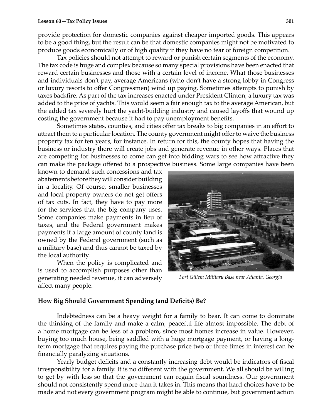provide protection for domestic companies against cheaper imported goods. This appears to be a good thing, but the result can be that domestic companies might not be motivated to produce goods economically or of high quality if they have no fear of foreign competition.

Tax policies should not attempt to reward or punish certain segments of the economy. The tax code is huge and complex because so many special provisions have been enacted that reward certain businesses and those with a certain level of income. What those businesses and individuals don't pay, average Americans (who don't have a strong lobby in Congress or luxury resorts to offer Congressmen) wind up paying. Sometimes attempts to punish by taxes backfire. As part of the tax increases enacted under President Clinton, a luxury tax was added to the price of yachts. This would seem a fair enough tax to the average American, but the added tax severely hurt the yacht-building industry and caused layoffs that wound up costing the government because it had to pay unemployment benefits.

Sometimes states, counties, and cities offer tax breaks to big companies in an effort to attract them to a particular location. The county government might offer to waive the business property tax for ten years, for instance. In return for this, the county hopes that having the business or industry there will create jobs and generate revenue in other ways. Places that are competing for businesses to come can get into bidding wars to see how attractive they can make the package offered to a prospective business. Some large companies have been

known to demand such concessions and tax abatements before they will consider building in a locality. Of course, smaller businesses and local property owners do not get offers of tax cuts. In fact, they have to pay more for the services that the big company uses. Some companies make payments in lieu of taxes, and the Federal government makes payments if a large amount of county land is owned by the Federal government (such as a military base) and thus cannot be taxed by the local authority.

When the policy is complicated and is used to accomplish purposes other than generating needed revenue, it can adversely affect many people.

*Fort Gillem Military Base near Atlanta, Georgia*

### How Big Should Government Spending (and Deficits) Be?

Indebtedness can be a heavy weight for a family to bear. It can come to dominate the thinking of the family and make a calm, peaceful life almost impossible. The debt of a home mortgage can be less of a problem, since most homes increase in value. However, buying too much house, being saddled with a huge mortgage payment, or having a longterm mortgage that requires paying the purchase price two or three times in interest can be financially paralyzing situations.

Yearly budget deficits and a constantly increasing debt would be indicators of fiscal irresponsibility for a family. It is no different with the government. We all should be willing to get by with less so that the government can regain fiscal soundness. Our government should not consistently spend more than it takes in. This means that hard choices have to be made and not every government program might be able to continue, but government action